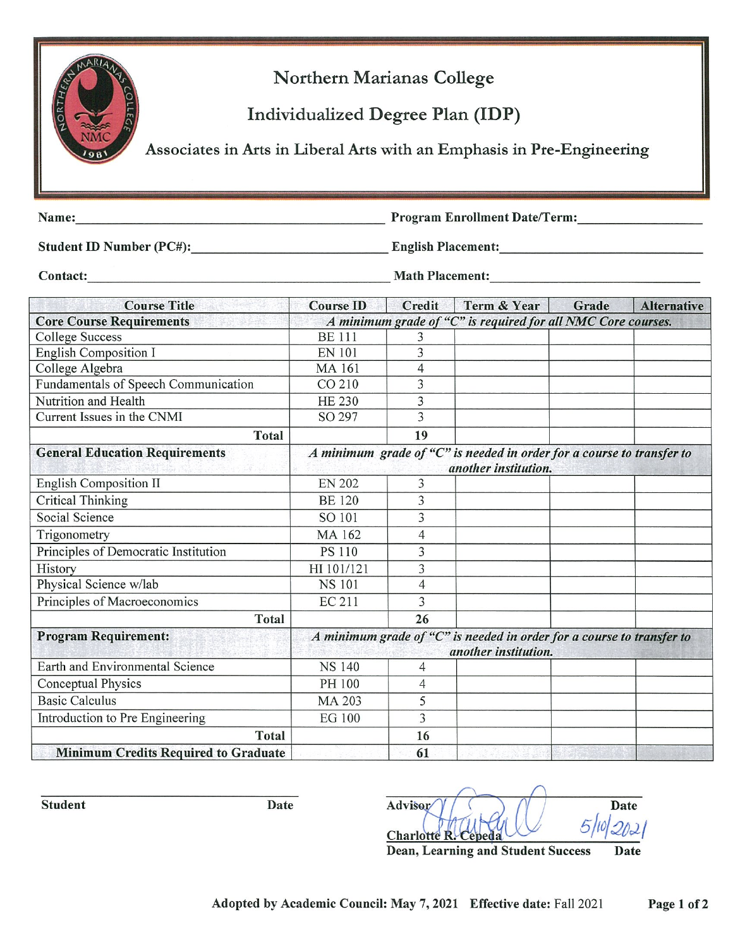

Northern Marianas College

Individualized Degree Plan **(IDP)** 

Associates in Arts in liberal Arts with an Emphasis in Pre-Engineering

Name: Name: Name: Name: Name: Name: Name: Name: Name: Name: Name: Name: Name: Name: Name: Name: Name: Name: Name: Name: Name: Name: Name: Name: Name: Name: Name: Name: Name: Name: Name: Name: Name: Name: Name: Name: Name:

**Student ID Number (PC#): English Placement:**  $\blacksquare$ 

**Contact: Contact: Math Placement: Contact:** *Math Placement:*

**Course Title Course ID Credit Term & Year Grade Alternative Core Course Requirements** *A minimum 2rade of "C" is required for all NMC Core courses.*  College Success BE 111 3 English Composition I EN 101 3 College Algebra MA 161 4 Fundamentals of Speech Communication CO 210 3 Nutrition and Health HE 230 3 Current Issues in the CNMI SO 297 3 Total 19 **General Education Requirements** *A minimum grade of "C" is needed in order for a course to transfer to another institution.*  English Composition II EN 202 3 Critical Thinking BE 120 3 Social Science Social Science Solution Social Science Solution Social Social Solution 3 Trigonometry MA 162 4 Principles of Democratic Institution PS 110 3 History HI 101/121 3 Physical Science w/lab NS 101 4 Principles of Macroeconomics EC 211 .., **Total 26 Program Requirement:** *A minimum grade of "C" is needed in order for a course to transfer to another institution.*  Earth and Environmental Science NS 140 4 Conceptual Physics **PH 100** 4 Basic Calculus MA 203 5 Introduction to Pre Engineering EG 100 5 Total 16 **Minimum Credits Required to Graduate 61 61** 

Student **Date** Date Advisor  $\gamma$  ( )  $\gamma$  Date  $2n2$ **Charlotte R** 

**Dean, Learning and Student Success Date**